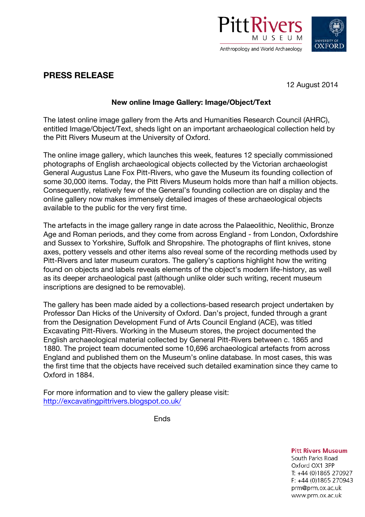



## **PRESS RELEASE**

12 August 2014

## **New online Image Gallery: Image/Object/Text**

The latest online image gallery from the Arts and Humanities Research Council (AHRC), entitled Image/Object/Text, sheds light on an important archaeological collection held by the Pitt Rivers Museum at the University of Oxford.

The online image gallery, which launches this week, features 12 specially commissioned photographs of English archaeological objects collected by the Victorian archaeologist General Augustus Lane Fox Pitt-Rivers, who gave the Museum its founding collection of some 30,000 items. Today, the Pitt Rivers Museum holds more than half a million objects. Consequently, relatively few of the General's founding collection are on display and the online gallery now makes immensely detailed images of these archaeological objects available to the public for the very first time.

The artefacts in the image gallery range in date across the Palaeolithic, Neolithic, Bronze Age and Roman periods, and they come from across England - from London, Oxfordshire and Sussex to Yorkshire, Suffolk and Shropshire. The photographs of flint knives, stone axes, pottery vessels and other items also reveal some of the recording methods used by Pitt-Rivers and later museum curators. The gallery's captions highlight how the writing found on objects and labels reveals elements of the object's modern life-history, as well as its deeper archaeological past (although unlike older such writing, recent museum inscriptions are designed to be removable).

The gallery has been made aided by a collections-based research project undertaken by Professor Dan Hicks of the University of Oxford. Dan's project, funded through a grant from the Designation Development Fund of Arts Council England (ACE), was titled Excavating Pitt-Rivers. Working in the Museum stores, the project documented the English archaeological material collected by General Pitt-Rivers between c. 1865 and 1880. The project team documented some 10,696 archaeological artefacts from across England and published them on the Museum's online database. In most cases, this was the first time that the objects have received such detailed examination since they came to Oxford in 1884.

For more information and to view the gallery please visit: http://excavatingpittrivers.blogspot.co.uk/

Ends

**Pitt Rivers Museum** 

South Parks Road Oxford OX1 3PP T: +44 (0)1865 270927 F: +44 (0)1865 270943 prm@prm.ox.ac.uk www.prm.ox.ac.uk